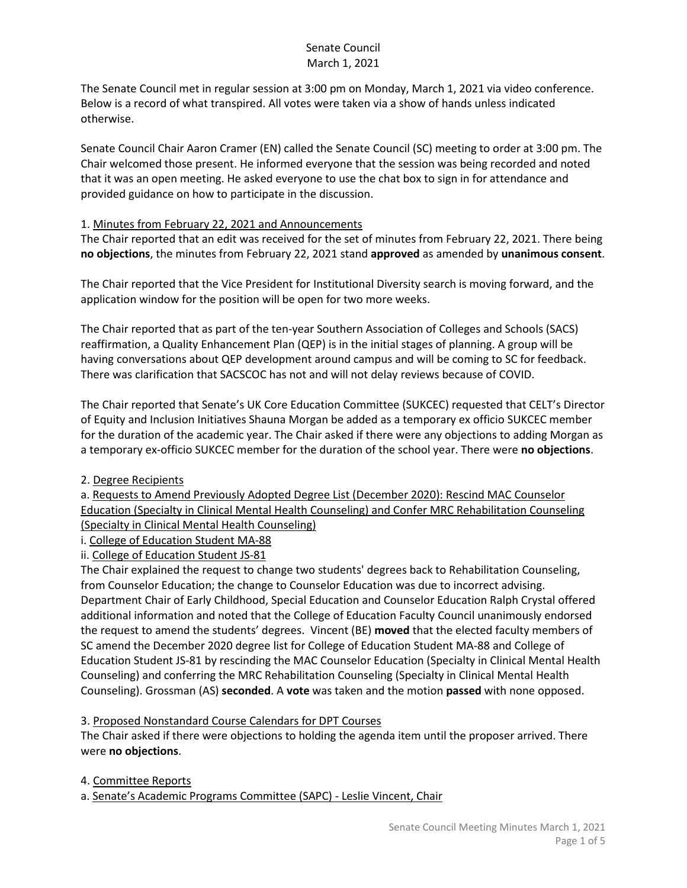The Senate Council met in regular session at 3:00 pm on Monday, March 1, 2021 via video conference. Below is a record of what transpired. All votes were taken via a show of hands unless indicated otherwise.

Senate Council Chair Aaron Cramer (EN) called the Senate Council (SC) meeting to order at 3:00 pm. The Chair welcomed those present. He informed everyone that the session was being recorded and noted that it was an open meeting. He asked everyone to use the chat box to sign in for attendance and provided guidance on how to participate in the discussion.

### 1. Minutes from February 22, 2021 and Announcements

The Chair reported that an edit was received for the set of minutes from February 22, 2021. There being **no objections**, the minutes from February 22, 2021 stand **approved** as amended by **unanimous consent**.

The Chair reported that the Vice President for Institutional Diversity search is moving forward, and the application window for the position will be open for two more weeks.

The Chair reported that as part of the ten-year Southern Association of Colleges and Schools (SACS) reaffirmation, a Quality Enhancement Plan (QEP) is in the initial stages of planning. A group will be having conversations about QEP development around campus and will be coming to SC for feedback. There was clarification that SACSCOC has not and will not delay reviews because of COVID.

The Chair reported that Senate's UK Core Education Committee (SUKCEC) requested that CELT's Director of Equity and Inclusion Initiatives Shauna Morgan be added as a temporary ex officio SUKCEC member for the duration of the academic year. The Chair asked if there were any objections to adding Morgan as a temporary ex-officio SUKCEC member for the duration of the school year. There were **no objections**.

### 2. Degree Recipients

a. Requests to Amend Previously Adopted Degree List (December 2020): Rescind MAC Counselor Education (Specialty in Clinical Mental Health Counseling) and Confer MRC Rehabilitation Counseling (Specialty in Clinical Mental Health Counseling)

i. College of Education Student MA-88

### ii. College of Education Student JS-81

The Chair explained the request to change two students' degrees back to Rehabilitation Counseling, from Counselor Education; the change to Counselor Education was due to incorrect advising. Department Chair of Early Childhood, Special Education and Counselor Education Ralph Crystal offered additional information and noted that the College of Education Faculty Council unanimously endorsed the request to amend the students' degrees. Vincent (BE) **moved** that the elected faculty members of SC amend the December 2020 degree list for College of Education Student MA-88 and College of Education Student JS-81 by rescinding the MAC Counselor Education (Specialty in Clinical Mental Health Counseling) and conferring the MRC Rehabilitation Counseling (Specialty in Clinical Mental Health Counseling). Grossman (AS) **seconded**. A **vote** was taken and the motion **passed** with none opposed.

### 3. Proposed Nonstandard Course Calendars for DPT Courses

The Chair asked if there were objections to holding the agenda item until the proposer arrived. There were **no objections**.

4. Committee Reports

a. Senate's Academic Programs Committee (SAPC) - Leslie Vincent, Chair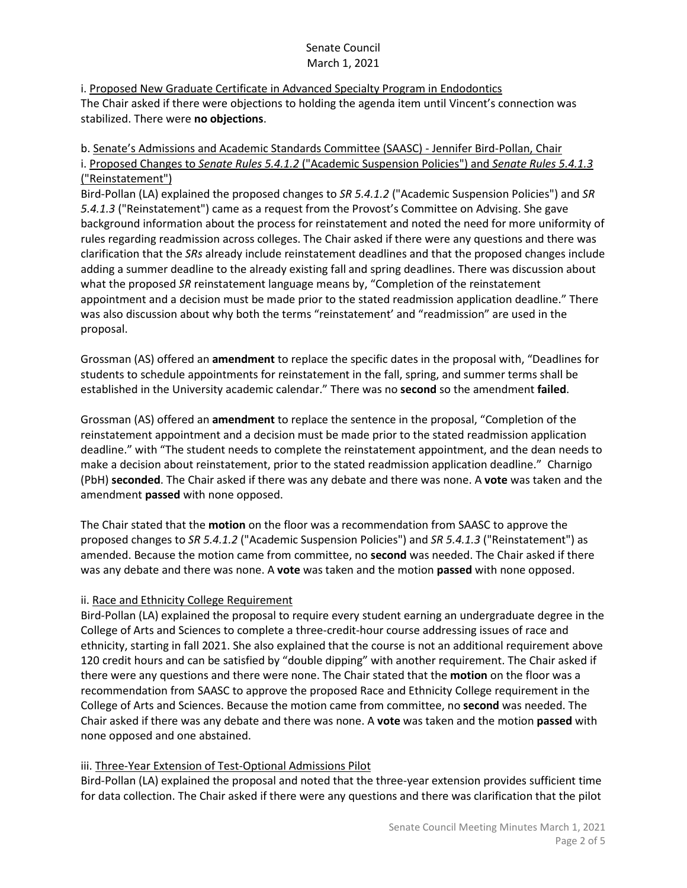i. Proposed New Graduate Certificate in Advanced Specialty Program in Endodontics The Chair asked if there were objections to holding the agenda item until Vincent's connection was stabilized. There were **no objections**.

## b. Senate's Admissions and Academic Standards Committee (SAASC) - Jennifer Bird-Pollan, Chair i. Proposed Changes to *Senate Rules 5.4.1.2* ("Academic Suspension Policies") and *Senate Rules 5.4.1.3* ("Reinstatement")

Bird-Pollan (LA) explained the proposed changes to *SR 5.4.1.2* ("Academic Suspension Policies") and *SR 5.4.1.3* ("Reinstatement") came as a request from the Provost's Committee on Advising. She gave background information about the process for reinstatement and noted the need for more uniformity of rules regarding readmission across colleges. The Chair asked if there were any questions and there was clarification that the *SRs* already include reinstatement deadlines and that the proposed changes include adding a summer deadline to the already existing fall and spring deadlines. There was discussion about what the proposed *SR* reinstatement language means by, "Completion of the reinstatement appointment and a decision must be made prior to the stated readmission application deadline." There was also discussion about why both the terms "reinstatement' and "readmission" are used in the proposal.

Grossman (AS) offered an **amendment** to replace the specific dates in the proposal with, "Deadlines for students to schedule appointments for reinstatement in the fall, spring, and summer terms shall be established in the University academic calendar." There was no **second** so the amendment **failed**.

Grossman (AS) offered an **amendment** to replace the sentence in the proposal, "Completion of the reinstatement appointment and a decision must be made prior to the stated readmission application deadline." with "The student needs to complete the reinstatement appointment, and the dean needs to make a decision about reinstatement, prior to the stated readmission application deadline." Charnigo (PbH) **seconded**. The Chair asked if there was any debate and there was none. A **vote** was taken and the amendment **passed** with none opposed.

The Chair stated that the **motion** on the floor was a recommendation from SAASC to approve the proposed changes to *SR 5.4.1.2* ("Academic Suspension Policies") and *SR 5.4.1.3* ("Reinstatement") as amended. Because the motion came from committee, no **second** was needed. The Chair asked if there was any debate and there was none. A **vote** was taken and the motion **passed** with none opposed.

# ii. Race and Ethnicity College Requirement

Bird-Pollan (LA) explained the proposal to require every student earning an undergraduate degree in the College of Arts and Sciences to complete a three-credit-hour course addressing issues of race and ethnicity, starting in fall 2021. She also explained that the course is not an additional requirement above 120 credit hours and can be satisfied by "double dipping" with another requirement. The Chair asked if there were any questions and there were none. The Chair stated that the **motion** on the floor was a recommendation from SAASC to approve the proposed Race and Ethnicity College requirement in the College of Arts and Sciences. Because the motion came from committee, no **second** was needed. The Chair asked if there was any debate and there was none. A **vote** was taken and the motion **passed** with none opposed and one abstained.

### iii. Three-Year Extension of Test-Optional Admissions Pilot

Bird-Pollan (LA) explained the proposal and noted that the three-year extension provides sufficient time for data collection. The Chair asked if there were any questions and there was clarification that the pilot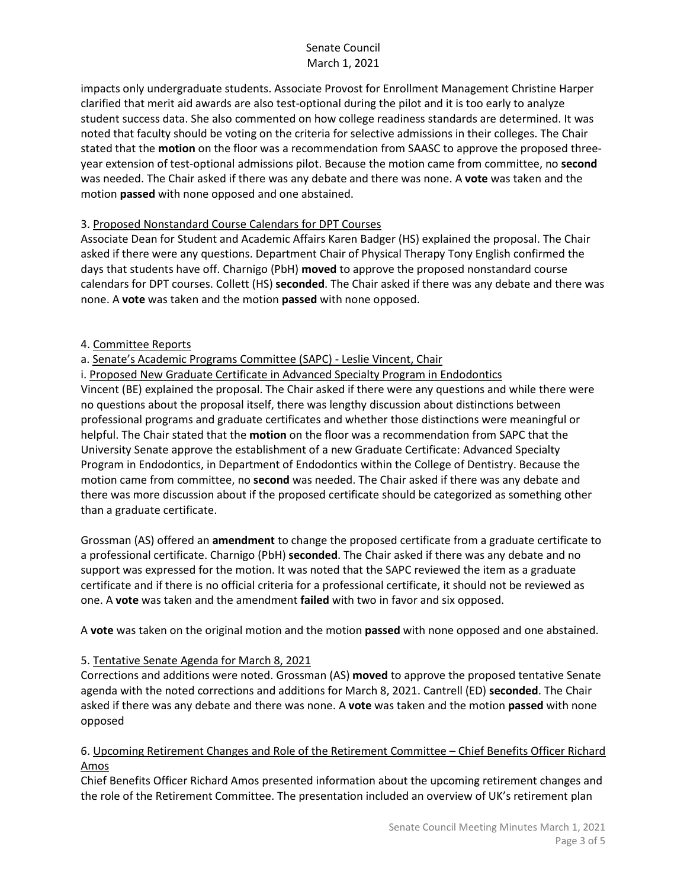impacts only undergraduate students. Associate Provost for Enrollment Management Christine Harper clarified that merit aid awards are also test-optional during the pilot and it is too early to analyze student success data. She also commented on how college readiness standards are determined. It was noted that faculty should be voting on the criteria for selective admissions in their colleges. The Chair stated that the **motion** on the floor was a recommendation from SAASC to approve the proposed threeyear extension of test-optional admissions pilot. Because the motion came from committee, no **second** was needed. The Chair asked if there was any debate and there was none. A **vote** was taken and the motion **passed** with none opposed and one abstained.

### 3. Proposed Nonstandard Course Calendars for DPT Courses

Associate Dean for Student and Academic Affairs Karen Badger (HS) explained the proposal. The Chair asked if there were any questions. Department Chair of Physical Therapy Tony English confirmed the days that students have off. Charnigo (PbH) **moved** to approve the proposed nonstandard course calendars for DPT courses. Collett (HS) **seconded**. The Chair asked if there was any debate and there was none. A **vote** was taken and the motion **passed** with none opposed.

### 4. Committee Reports

a. Senate's Academic Programs Committee (SAPC) - Leslie Vincent, Chair

i. Proposed New Graduate Certificate in Advanced Specialty Program in Endodontics

Vincent (BE) explained the proposal. The Chair asked if there were any questions and while there were no questions about the proposal itself, there was lengthy discussion about distinctions between professional programs and graduate certificates and whether those distinctions were meaningful or helpful. The Chair stated that the **motion** on the floor was a recommendation from SAPC that the University Senate approve the establishment of a new Graduate Certificate: Advanced Specialty Program in Endodontics, in Department of Endodontics within the College of Dentistry. Because the motion came from committee, no **second** was needed. The Chair asked if there was any debate and there was more discussion about if the proposed certificate should be categorized as something other than a graduate certificate.

Grossman (AS) offered an **amendment** to change the proposed certificate from a graduate certificate to a professional certificate. Charnigo (PbH) **seconded**. The Chair asked if there was any debate and no support was expressed for the motion. It was noted that the SAPC reviewed the item as a graduate certificate and if there is no official criteria for a professional certificate, it should not be reviewed as one. A **vote** was taken and the amendment **failed** with two in favor and six opposed.

A **vote** was taken on the original motion and the motion **passed** with none opposed and one abstained.

### 5. Tentative Senate Agenda for March 8, 2021

Corrections and additions were noted. Grossman (AS) **moved** to approve the proposed tentative Senate agenda with the noted corrections and additions for March 8, 2021. Cantrell (ED) **seconded**. The Chair asked if there was any debate and there was none. A **vote** was taken and the motion **passed** with none opposed

### 6. Upcoming Retirement Changes and Role of the Retirement Committee – Chief Benefits Officer Richard Amos

Chief Benefits Officer Richard Amos presented information about the upcoming retirement changes and the role of the Retirement Committee. The presentation included an overview of UK's retirement plan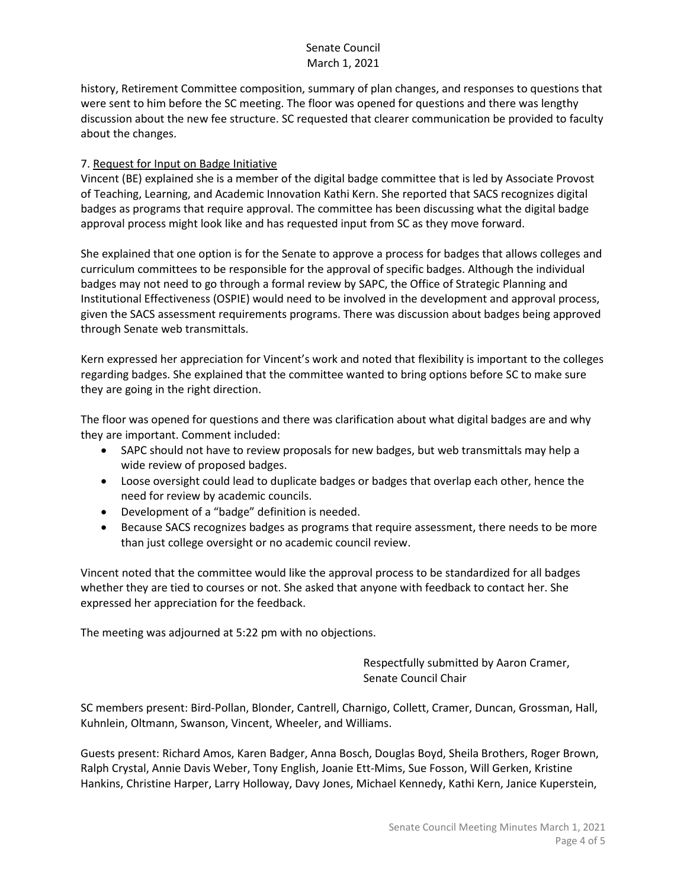history, Retirement Committee composition, summary of plan changes, and responses to questions that were sent to him before the SC meeting. The floor was opened for questions and there was lengthy discussion about the new fee structure. SC requested that clearer communication be provided to faculty about the changes.

#### 7. Request for Input on Badge Initiative

Vincent (BE) explained she is a member of the digital badge committee that is led by Associate Provost of Teaching, Learning, and Academic Innovation Kathi Kern. She reported that SACS recognizes digital badges as programs that require approval. The committee has been discussing what the digital badge approval process might look like and has requested input from SC as they move forward.

She explained that one option is for the Senate to approve a process for badges that allows colleges and curriculum committees to be responsible for the approval of specific badges. Although the individual badges may not need to go through a formal review by SAPC, the Office of Strategic Planning and Institutional Effectiveness (OSPIE) would need to be involved in the development and approval process, given the SACS assessment requirements programs. There was discussion about badges being approved through Senate web transmittals.

Kern expressed her appreciation for Vincent's work and noted that flexibility is important to the colleges regarding badges. She explained that the committee wanted to bring options before SC to make sure they are going in the right direction.

The floor was opened for questions and there was clarification about what digital badges are and why they are important. Comment included:

- SAPC should not have to review proposals for new badges, but web transmittals may help a wide review of proposed badges.
- Loose oversight could lead to duplicate badges or badges that overlap each other, hence the need for review by academic councils.
- Development of a "badge" definition is needed.
- Because SACS recognizes badges as programs that require assessment, there needs to be more than just college oversight or no academic council review.

Vincent noted that the committee would like the approval process to be standardized for all badges whether they are tied to courses or not. She asked that anyone with feedback to contact her. She expressed her appreciation for the feedback.

The meeting was adjourned at 5:22 pm with no objections.

Respectfully submitted by Aaron Cramer, Senate Council Chair

SC members present: Bird-Pollan, Blonder, Cantrell, Charnigo, Collett, Cramer, Duncan, Grossman, Hall, Kuhnlein, Oltmann, Swanson, Vincent, Wheeler, and Williams.

Guests present: Richard Amos, Karen Badger, Anna Bosch, Douglas Boyd, Sheila Brothers, Roger Brown, Ralph Crystal, Annie Davis Weber, Tony English, Joanie Ett-Mims, Sue Fosson, Will Gerken, Kristine Hankins, Christine Harper, Larry Holloway, Davy Jones, Michael Kennedy, Kathi Kern, Janice Kuperstein,